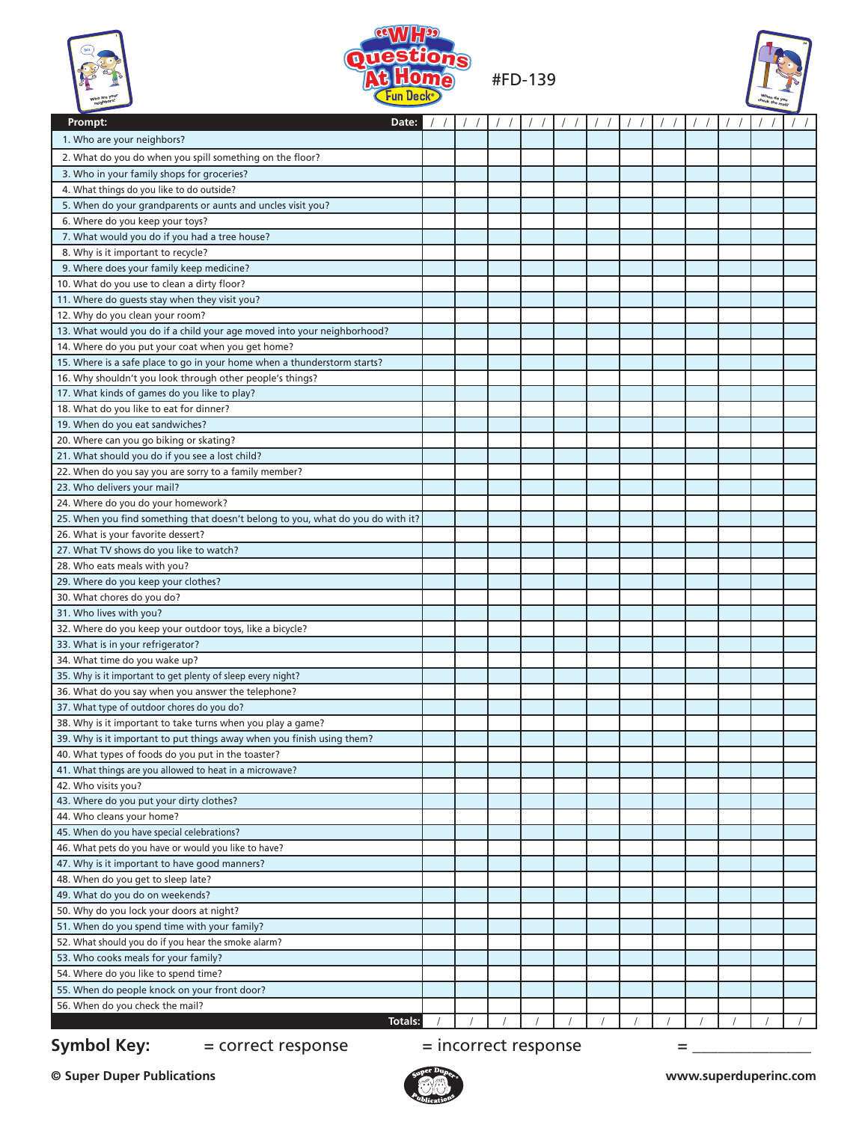





| 1. Who are your neighbors?<br>2. What do you do when you spill something on the floor?<br>3. Who in your family shops for groceries?<br>4. What things do you like to do outside?<br>5. When do your grandparents or aunts and uncles visit you?<br>6. Where do you keep your toys?<br>7. What would you do if you had a tree house?<br>8. Why is it important to recycle?<br>9. Where does your family keep medicine?<br>10. What do you use to clean a dirty floor?<br>11. Where do quests stay when they visit you?<br>12. Why do you clean your room?<br>13. What would you do if a child your age moved into your neighborhood?<br>14. Where do you put your coat when you get home?<br>15. Where is a safe place to go in your home when a thunderstorm starts?<br>16. Why shouldn't you look through other people's things?<br>17. What kinds of games do you like to play?<br>18. What do you like to eat for dinner?<br>19. When do you eat sandwiches?<br>20. Where can you go biking or skating?<br>21. What should you do if you see a lost child?<br>22. When do you say you are sorry to a family member?<br>23. Who delivers your mail?<br>24. Where do you do your homework?<br>25. When you find something that doesn't belong to you, what do you do with it?<br>26. What is your favorite dessert?<br>27. What TV shows do you like to watch?<br>28. Who eats meals with you?<br>29. Where do you keep your clothes?<br>30. What chores do you do?<br>31. Who lives with you?<br>32. Where do you keep your outdoor toys, like a bicycle?<br>33. What is in your refrigerator?<br>34. What time do you wake up?<br>35. Why is it important to get plenty of sleep every night?<br>36. What do you say when you answer the telephone?<br>37. What type of outdoor chores do you do?<br>38. Why is it important to take turns when you play a game?<br>39. Why is it important to put things away when you finish using them?<br>40. What types of foods do you put in the toaster?<br>41. What things are you allowed to heat in a microwave?<br>42. Who visits you?<br>43. Where do you put your dirty clothes?<br>44. Who cleans your home?<br>45. When do you have special celebrations?<br>46. What pets do you have or would you like to have?<br>47. Why is it important to have good manners?<br>48. When do you get to sleep late?<br>49. What do you do on weekends? | 77   77   77   77   77   77   77   77   77   77   77   77   77 |
|-------------------------------------------------------------------------------------------------------------------------------------------------------------------------------------------------------------------------------------------------------------------------------------------------------------------------------------------------------------------------------------------------------------------------------------------------------------------------------------------------------------------------------------------------------------------------------------------------------------------------------------------------------------------------------------------------------------------------------------------------------------------------------------------------------------------------------------------------------------------------------------------------------------------------------------------------------------------------------------------------------------------------------------------------------------------------------------------------------------------------------------------------------------------------------------------------------------------------------------------------------------------------------------------------------------------------------------------------------------------------------------------------------------------------------------------------------------------------------------------------------------------------------------------------------------------------------------------------------------------------------------------------------------------------------------------------------------------------------------------------------------------------------------------------------------------------------------------------------------------------------------------------------------------------------------------------------------------------------------------------------------------------------------------------------------------------------------------------------------------------------------------------------------------------------------------------------------------------------------------------------------------------------------------------------------------------------------------------------------------------------------------------|----------------------------------------------------------------|
|                                                                                                                                                                                                                                                                                                                                                                                                                                                                                                                                                                                                                                                                                                                                                                                                                                                                                                                                                                                                                                                                                                                                                                                                                                                                                                                                                                                                                                                                                                                                                                                                                                                                                                                                                                                                                                                                                                                                                                                                                                                                                                                                                                                                                                                                                                                                                                                                 |                                                                |
|                                                                                                                                                                                                                                                                                                                                                                                                                                                                                                                                                                                                                                                                                                                                                                                                                                                                                                                                                                                                                                                                                                                                                                                                                                                                                                                                                                                                                                                                                                                                                                                                                                                                                                                                                                                                                                                                                                                                                                                                                                                                                                                                                                                                                                                                                                                                                                                                 |                                                                |
|                                                                                                                                                                                                                                                                                                                                                                                                                                                                                                                                                                                                                                                                                                                                                                                                                                                                                                                                                                                                                                                                                                                                                                                                                                                                                                                                                                                                                                                                                                                                                                                                                                                                                                                                                                                                                                                                                                                                                                                                                                                                                                                                                                                                                                                                                                                                                                                                 |                                                                |
|                                                                                                                                                                                                                                                                                                                                                                                                                                                                                                                                                                                                                                                                                                                                                                                                                                                                                                                                                                                                                                                                                                                                                                                                                                                                                                                                                                                                                                                                                                                                                                                                                                                                                                                                                                                                                                                                                                                                                                                                                                                                                                                                                                                                                                                                                                                                                                                                 |                                                                |
|                                                                                                                                                                                                                                                                                                                                                                                                                                                                                                                                                                                                                                                                                                                                                                                                                                                                                                                                                                                                                                                                                                                                                                                                                                                                                                                                                                                                                                                                                                                                                                                                                                                                                                                                                                                                                                                                                                                                                                                                                                                                                                                                                                                                                                                                                                                                                                                                 |                                                                |
|                                                                                                                                                                                                                                                                                                                                                                                                                                                                                                                                                                                                                                                                                                                                                                                                                                                                                                                                                                                                                                                                                                                                                                                                                                                                                                                                                                                                                                                                                                                                                                                                                                                                                                                                                                                                                                                                                                                                                                                                                                                                                                                                                                                                                                                                                                                                                                                                 |                                                                |
|                                                                                                                                                                                                                                                                                                                                                                                                                                                                                                                                                                                                                                                                                                                                                                                                                                                                                                                                                                                                                                                                                                                                                                                                                                                                                                                                                                                                                                                                                                                                                                                                                                                                                                                                                                                                                                                                                                                                                                                                                                                                                                                                                                                                                                                                                                                                                                                                 |                                                                |
|                                                                                                                                                                                                                                                                                                                                                                                                                                                                                                                                                                                                                                                                                                                                                                                                                                                                                                                                                                                                                                                                                                                                                                                                                                                                                                                                                                                                                                                                                                                                                                                                                                                                                                                                                                                                                                                                                                                                                                                                                                                                                                                                                                                                                                                                                                                                                                                                 |                                                                |
|                                                                                                                                                                                                                                                                                                                                                                                                                                                                                                                                                                                                                                                                                                                                                                                                                                                                                                                                                                                                                                                                                                                                                                                                                                                                                                                                                                                                                                                                                                                                                                                                                                                                                                                                                                                                                                                                                                                                                                                                                                                                                                                                                                                                                                                                                                                                                                                                 |                                                                |
|                                                                                                                                                                                                                                                                                                                                                                                                                                                                                                                                                                                                                                                                                                                                                                                                                                                                                                                                                                                                                                                                                                                                                                                                                                                                                                                                                                                                                                                                                                                                                                                                                                                                                                                                                                                                                                                                                                                                                                                                                                                                                                                                                                                                                                                                                                                                                                                                 |                                                                |
|                                                                                                                                                                                                                                                                                                                                                                                                                                                                                                                                                                                                                                                                                                                                                                                                                                                                                                                                                                                                                                                                                                                                                                                                                                                                                                                                                                                                                                                                                                                                                                                                                                                                                                                                                                                                                                                                                                                                                                                                                                                                                                                                                                                                                                                                                                                                                                                                 |                                                                |
|                                                                                                                                                                                                                                                                                                                                                                                                                                                                                                                                                                                                                                                                                                                                                                                                                                                                                                                                                                                                                                                                                                                                                                                                                                                                                                                                                                                                                                                                                                                                                                                                                                                                                                                                                                                                                                                                                                                                                                                                                                                                                                                                                                                                                                                                                                                                                                                                 |                                                                |
|                                                                                                                                                                                                                                                                                                                                                                                                                                                                                                                                                                                                                                                                                                                                                                                                                                                                                                                                                                                                                                                                                                                                                                                                                                                                                                                                                                                                                                                                                                                                                                                                                                                                                                                                                                                                                                                                                                                                                                                                                                                                                                                                                                                                                                                                                                                                                                                                 |                                                                |
|                                                                                                                                                                                                                                                                                                                                                                                                                                                                                                                                                                                                                                                                                                                                                                                                                                                                                                                                                                                                                                                                                                                                                                                                                                                                                                                                                                                                                                                                                                                                                                                                                                                                                                                                                                                                                                                                                                                                                                                                                                                                                                                                                                                                                                                                                                                                                                                                 |                                                                |
|                                                                                                                                                                                                                                                                                                                                                                                                                                                                                                                                                                                                                                                                                                                                                                                                                                                                                                                                                                                                                                                                                                                                                                                                                                                                                                                                                                                                                                                                                                                                                                                                                                                                                                                                                                                                                                                                                                                                                                                                                                                                                                                                                                                                                                                                                                                                                                                                 |                                                                |
|                                                                                                                                                                                                                                                                                                                                                                                                                                                                                                                                                                                                                                                                                                                                                                                                                                                                                                                                                                                                                                                                                                                                                                                                                                                                                                                                                                                                                                                                                                                                                                                                                                                                                                                                                                                                                                                                                                                                                                                                                                                                                                                                                                                                                                                                                                                                                                                                 |                                                                |
|                                                                                                                                                                                                                                                                                                                                                                                                                                                                                                                                                                                                                                                                                                                                                                                                                                                                                                                                                                                                                                                                                                                                                                                                                                                                                                                                                                                                                                                                                                                                                                                                                                                                                                                                                                                                                                                                                                                                                                                                                                                                                                                                                                                                                                                                                                                                                                                                 |                                                                |
|                                                                                                                                                                                                                                                                                                                                                                                                                                                                                                                                                                                                                                                                                                                                                                                                                                                                                                                                                                                                                                                                                                                                                                                                                                                                                                                                                                                                                                                                                                                                                                                                                                                                                                                                                                                                                                                                                                                                                                                                                                                                                                                                                                                                                                                                                                                                                                                                 |                                                                |
|                                                                                                                                                                                                                                                                                                                                                                                                                                                                                                                                                                                                                                                                                                                                                                                                                                                                                                                                                                                                                                                                                                                                                                                                                                                                                                                                                                                                                                                                                                                                                                                                                                                                                                                                                                                                                                                                                                                                                                                                                                                                                                                                                                                                                                                                                                                                                                                                 |                                                                |
|                                                                                                                                                                                                                                                                                                                                                                                                                                                                                                                                                                                                                                                                                                                                                                                                                                                                                                                                                                                                                                                                                                                                                                                                                                                                                                                                                                                                                                                                                                                                                                                                                                                                                                                                                                                                                                                                                                                                                                                                                                                                                                                                                                                                                                                                                                                                                                                                 |                                                                |
|                                                                                                                                                                                                                                                                                                                                                                                                                                                                                                                                                                                                                                                                                                                                                                                                                                                                                                                                                                                                                                                                                                                                                                                                                                                                                                                                                                                                                                                                                                                                                                                                                                                                                                                                                                                                                                                                                                                                                                                                                                                                                                                                                                                                                                                                                                                                                                                                 |                                                                |
|                                                                                                                                                                                                                                                                                                                                                                                                                                                                                                                                                                                                                                                                                                                                                                                                                                                                                                                                                                                                                                                                                                                                                                                                                                                                                                                                                                                                                                                                                                                                                                                                                                                                                                                                                                                                                                                                                                                                                                                                                                                                                                                                                                                                                                                                                                                                                                                                 |                                                                |
|                                                                                                                                                                                                                                                                                                                                                                                                                                                                                                                                                                                                                                                                                                                                                                                                                                                                                                                                                                                                                                                                                                                                                                                                                                                                                                                                                                                                                                                                                                                                                                                                                                                                                                                                                                                                                                                                                                                                                                                                                                                                                                                                                                                                                                                                                                                                                                                                 |                                                                |
|                                                                                                                                                                                                                                                                                                                                                                                                                                                                                                                                                                                                                                                                                                                                                                                                                                                                                                                                                                                                                                                                                                                                                                                                                                                                                                                                                                                                                                                                                                                                                                                                                                                                                                                                                                                                                                                                                                                                                                                                                                                                                                                                                                                                                                                                                                                                                                                                 |                                                                |
|                                                                                                                                                                                                                                                                                                                                                                                                                                                                                                                                                                                                                                                                                                                                                                                                                                                                                                                                                                                                                                                                                                                                                                                                                                                                                                                                                                                                                                                                                                                                                                                                                                                                                                                                                                                                                                                                                                                                                                                                                                                                                                                                                                                                                                                                                                                                                                                                 |                                                                |
|                                                                                                                                                                                                                                                                                                                                                                                                                                                                                                                                                                                                                                                                                                                                                                                                                                                                                                                                                                                                                                                                                                                                                                                                                                                                                                                                                                                                                                                                                                                                                                                                                                                                                                                                                                                                                                                                                                                                                                                                                                                                                                                                                                                                                                                                                                                                                                                                 |                                                                |
|                                                                                                                                                                                                                                                                                                                                                                                                                                                                                                                                                                                                                                                                                                                                                                                                                                                                                                                                                                                                                                                                                                                                                                                                                                                                                                                                                                                                                                                                                                                                                                                                                                                                                                                                                                                                                                                                                                                                                                                                                                                                                                                                                                                                                                                                                                                                                                                                 |                                                                |
|                                                                                                                                                                                                                                                                                                                                                                                                                                                                                                                                                                                                                                                                                                                                                                                                                                                                                                                                                                                                                                                                                                                                                                                                                                                                                                                                                                                                                                                                                                                                                                                                                                                                                                                                                                                                                                                                                                                                                                                                                                                                                                                                                                                                                                                                                                                                                                                                 |                                                                |
|                                                                                                                                                                                                                                                                                                                                                                                                                                                                                                                                                                                                                                                                                                                                                                                                                                                                                                                                                                                                                                                                                                                                                                                                                                                                                                                                                                                                                                                                                                                                                                                                                                                                                                                                                                                                                                                                                                                                                                                                                                                                                                                                                                                                                                                                                                                                                                                                 |                                                                |
|                                                                                                                                                                                                                                                                                                                                                                                                                                                                                                                                                                                                                                                                                                                                                                                                                                                                                                                                                                                                                                                                                                                                                                                                                                                                                                                                                                                                                                                                                                                                                                                                                                                                                                                                                                                                                                                                                                                                                                                                                                                                                                                                                                                                                                                                                                                                                                                                 |                                                                |
|                                                                                                                                                                                                                                                                                                                                                                                                                                                                                                                                                                                                                                                                                                                                                                                                                                                                                                                                                                                                                                                                                                                                                                                                                                                                                                                                                                                                                                                                                                                                                                                                                                                                                                                                                                                                                                                                                                                                                                                                                                                                                                                                                                                                                                                                                                                                                                                                 |                                                                |
|                                                                                                                                                                                                                                                                                                                                                                                                                                                                                                                                                                                                                                                                                                                                                                                                                                                                                                                                                                                                                                                                                                                                                                                                                                                                                                                                                                                                                                                                                                                                                                                                                                                                                                                                                                                                                                                                                                                                                                                                                                                                                                                                                                                                                                                                                                                                                                                                 |                                                                |
|                                                                                                                                                                                                                                                                                                                                                                                                                                                                                                                                                                                                                                                                                                                                                                                                                                                                                                                                                                                                                                                                                                                                                                                                                                                                                                                                                                                                                                                                                                                                                                                                                                                                                                                                                                                                                                                                                                                                                                                                                                                                                                                                                                                                                                                                                                                                                                                                 |                                                                |
|                                                                                                                                                                                                                                                                                                                                                                                                                                                                                                                                                                                                                                                                                                                                                                                                                                                                                                                                                                                                                                                                                                                                                                                                                                                                                                                                                                                                                                                                                                                                                                                                                                                                                                                                                                                                                                                                                                                                                                                                                                                                                                                                                                                                                                                                                                                                                                                                 |                                                                |
|                                                                                                                                                                                                                                                                                                                                                                                                                                                                                                                                                                                                                                                                                                                                                                                                                                                                                                                                                                                                                                                                                                                                                                                                                                                                                                                                                                                                                                                                                                                                                                                                                                                                                                                                                                                                                                                                                                                                                                                                                                                                                                                                                                                                                                                                                                                                                                                                 |                                                                |
|                                                                                                                                                                                                                                                                                                                                                                                                                                                                                                                                                                                                                                                                                                                                                                                                                                                                                                                                                                                                                                                                                                                                                                                                                                                                                                                                                                                                                                                                                                                                                                                                                                                                                                                                                                                                                                                                                                                                                                                                                                                                                                                                                                                                                                                                                                                                                                                                 |                                                                |
|                                                                                                                                                                                                                                                                                                                                                                                                                                                                                                                                                                                                                                                                                                                                                                                                                                                                                                                                                                                                                                                                                                                                                                                                                                                                                                                                                                                                                                                                                                                                                                                                                                                                                                                                                                                                                                                                                                                                                                                                                                                                                                                                                                                                                                                                                                                                                                                                 |                                                                |
|                                                                                                                                                                                                                                                                                                                                                                                                                                                                                                                                                                                                                                                                                                                                                                                                                                                                                                                                                                                                                                                                                                                                                                                                                                                                                                                                                                                                                                                                                                                                                                                                                                                                                                                                                                                                                                                                                                                                                                                                                                                                                                                                                                                                                                                                                                                                                                                                 |                                                                |
|                                                                                                                                                                                                                                                                                                                                                                                                                                                                                                                                                                                                                                                                                                                                                                                                                                                                                                                                                                                                                                                                                                                                                                                                                                                                                                                                                                                                                                                                                                                                                                                                                                                                                                                                                                                                                                                                                                                                                                                                                                                                                                                                                                                                                                                                                                                                                                                                 |                                                                |
|                                                                                                                                                                                                                                                                                                                                                                                                                                                                                                                                                                                                                                                                                                                                                                                                                                                                                                                                                                                                                                                                                                                                                                                                                                                                                                                                                                                                                                                                                                                                                                                                                                                                                                                                                                                                                                                                                                                                                                                                                                                                                                                                                                                                                                                                                                                                                                                                 |                                                                |
|                                                                                                                                                                                                                                                                                                                                                                                                                                                                                                                                                                                                                                                                                                                                                                                                                                                                                                                                                                                                                                                                                                                                                                                                                                                                                                                                                                                                                                                                                                                                                                                                                                                                                                                                                                                                                                                                                                                                                                                                                                                                                                                                                                                                                                                                                                                                                                                                 |                                                                |
|                                                                                                                                                                                                                                                                                                                                                                                                                                                                                                                                                                                                                                                                                                                                                                                                                                                                                                                                                                                                                                                                                                                                                                                                                                                                                                                                                                                                                                                                                                                                                                                                                                                                                                                                                                                                                                                                                                                                                                                                                                                                                                                                                                                                                                                                                                                                                                                                 |                                                                |
|                                                                                                                                                                                                                                                                                                                                                                                                                                                                                                                                                                                                                                                                                                                                                                                                                                                                                                                                                                                                                                                                                                                                                                                                                                                                                                                                                                                                                                                                                                                                                                                                                                                                                                                                                                                                                                                                                                                                                                                                                                                                                                                                                                                                                                                                                                                                                                                                 |                                                                |
|                                                                                                                                                                                                                                                                                                                                                                                                                                                                                                                                                                                                                                                                                                                                                                                                                                                                                                                                                                                                                                                                                                                                                                                                                                                                                                                                                                                                                                                                                                                                                                                                                                                                                                                                                                                                                                                                                                                                                                                                                                                                                                                                                                                                                                                                                                                                                                                                 |                                                                |
|                                                                                                                                                                                                                                                                                                                                                                                                                                                                                                                                                                                                                                                                                                                                                                                                                                                                                                                                                                                                                                                                                                                                                                                                                                                                                                                                                                                                                                                                                                                                                                                                                                                                                                                                                                                                                                                                                                                                                                                                                                                                                                                                                                                                                                                                                                                                                                                                 |                                                                |
|                                                                                                                                                                                                                                                                                                                                                                                                                                                                                                                                                                                                                                                                                                                                                                                                                                                                                                                                                                                                                                                                                                                                                                                                                                                                                                                                                                                                                                                                                                                                                                                                                                                                                                                                                                                                                                                                                                                                                                                                                                                                                                                                                                                                                                                                                                                                                                                                 |                                                                |
|                                                                                                                                                                                                                                                                                                                                                                                                                                                                                                                                                                                                                                                                                                                                                                                                                                                                                                                                                                                                                                                                                                                                                                                                                                                                                                                                                                                                                                                                                                                                                                                                                                                                                                                                                                                                                                                                                                                                                                                                                                                                                                                                                                                                                                                                                                                                                                                                 |                                                                |
|                                                                                                                                                                                                                                                                                                                                                                                                                                                                                                                                                                                                                                                                                                                                                                                                                                                                                                                                                                                                                                                                                                                                                                                                                                                                                                                                                                                                                                                                                                                                                                                                                                                                                                                                                                                                                                                                                                                                                                                                                                                                                                                                                                                                                                                                                                                                                                                                 |                                                                |
|                                                                                                                                                                                                                                                                                                                                                                                                                                                                                                                                                                                                                                                                                                                                                                                                                                                                                                                                                                                                                                                                                                                                                                                                                                                                                                                                                                                                                                                                                                                                                                                                                                                                                                                                                                                                                                                                                                                                                                                                                                                                                                                                                                                                                                                                                                                                                                                                 |                                                                |
| 50. Why do you lock your doors at night?                                                                                                                                                                                                                                                                                                                                                                                                                                                                                                                                                                                                                                                                                                                                                                                                                                                                                                                                                                                                                                                                                                                                                                                                                                                                                                                                                                                                                                                                                                                                                                                                                                                                                                                                                                                                                                                                                                                                                                                                                                                                                                                                                                                                                                                                                                                                                        |                                                                |
| 51. When do you spend time with your family?                                                                                                                                                                                                                                                                                                                                                                                                                                                                                                                                                                                                                                                                                                                                                                                                                                                                                                                                                                                                                                                                                                                                                                                                                                                                                                                                                                                                                                                                                                                                                                                                                                                                                                                                                                                                                                                                                                                                                                                                                                                                                                                                                                                                                                                                                                                                                    |                                                                |
| 52. What should you do if you hear the smoke alarm?                                                                                                                                                                                                                                                                                                                                                                                                                                                                                                                                                                                                                                                                                                                                                                                                                                                                                                                                                                                                                                                                                                                                                                                                                                                                                                                                                                                                                                                                                                                                                                                                                                                                                                                                                                                                                                                                                                                                                                                                                                                                                                                                                                                                                                                                                                                                             |                                                                |
| 53. Who cooks meals for your family?                                                                                                                                                                                                                                                                                                                                                                                                                                                                                                                                                                                                                                                                                                                                                                                                                                                                                                                                                                                                                                                                                                                                                                                                                                                                                                                                                                                                                                                                                                                                                                                                                                                                                                                                                                                                                                                                                                                                                                                                                                                                                                                                                                                                                                                                                                                                                            |                                                                |
| 54. Where do you like to spend time?                                                                                                                                                                                                                                                                                                                                                                                                                                                                                                                                                                                                                                                                                                                                                                                                                                                                                                                                                                                                                                                                                                                                                                                                                                                                                                                                                                                                                                                                                                                                                                                                                                                                                                                                                                                                                                                                                                                                                                                                                                                                                                                                                                                                                                                                                                                                                            |                                                                |
| 55. When do people knock on your front door?                                                                                                                                                                                                                                                                                                                                                                                                                                                                                                                                                                                                                                                                                                                                                                                                                                                                                                                                                                                                                                                                                                                                                                                                                                                                                                                                                                                                                                                                                                                                                                                                                                                                                                                                                                                                                                                                                                                                                                                                                                                                                                                                                                                                                                                                                                                                                    |                                                                |
| 56. When do you check the mail?                                                                                                                                                                                                                                                                                                                                                                                                                                                                                                                                                                                                                                                                                                                                                                                                                                                                                                                                                                                                                                                                                                                                                                                                                                                                                                                                                                                                                                                                                                                                                                                                                                                                                                                                                                                                                                                                                                                                                                                                                                                                                                                                                                                                                                                                                                                                                                 |                                                                |
| Totals:                                                                                                                                                                                                                                                                                                                                                                                                                                                                                                                                                                                                                                                                                                                                                                                                                                                                                                                                                                                                                                                                                                                                                                                                                                                                                                                                                                                                                                                                                                                                                                                                                                                                                                                                                                                                                                                                                                                                                                                                                                                                                                                                                                                                                                                                                                                                                                                         |                                                                |

## **Symbol Key:**  $=$  correct response  $=$  incorrect response  $=$